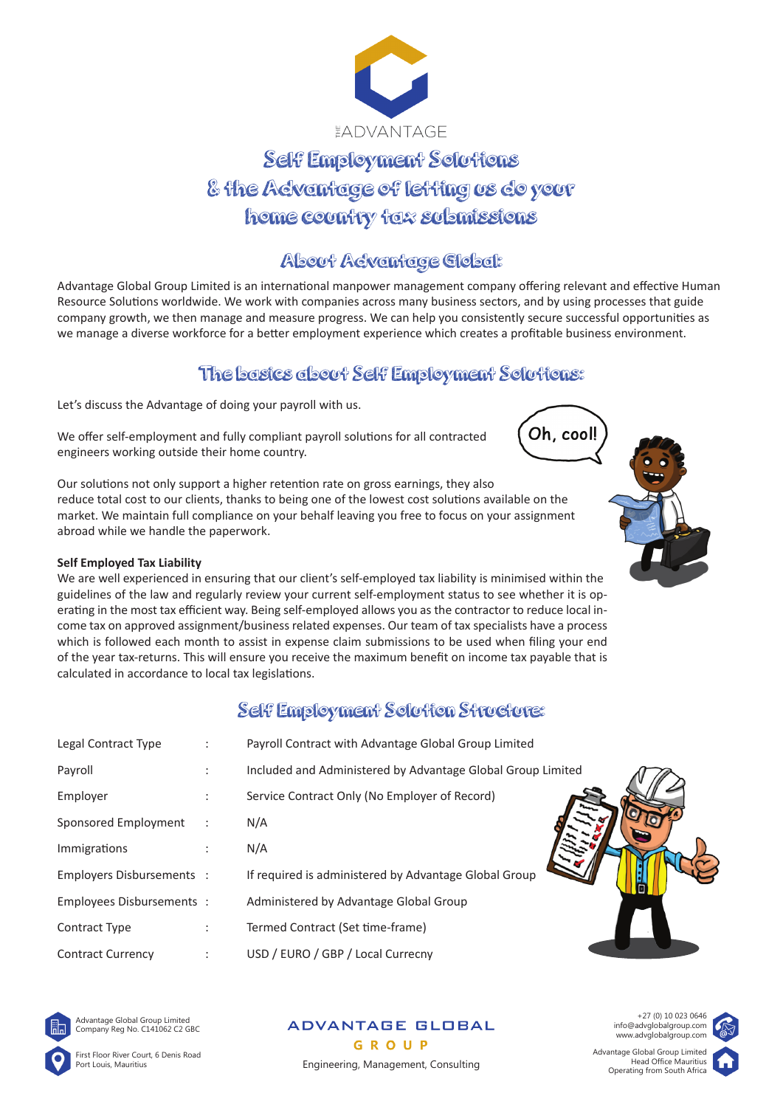

# Self Employment Solutions & the Advantage of letting us do your home country tax submissions

## About Advantage Global:

Advantage Global Group Limited is an international manpower management company offering relevant and effective Human Resource Solutions worldwide. We work with companies across many business sectors, and by using processes that guide company growth, we then manage and measure progress. We can help you consistently secure successful opportunities as we manage a diverse workforce for a better employment experience which creates a profitable business environment.

# The basics about Self Employment Solutions:

Let's discuss the Advantage of doing your payroll with us.

We offer self-employment and fully compliant payroll solutions for all contracted engineers working outside their home country.

Our solutions not only support a higher retention rate on gross earnings, they also reduce total cost to our clients, thanks to being one of the lowest cost solutions available on the market. We maintain full compliance on your behalf leaving you free to focus on your assignment abroad while we handle the paperwork.

#### **Self Employed Tax Liability**

We are well experienced in ensuring that our client's self-employed tax liability is minimised within the guidelines of the law and regularly review your current self-employment status to see whether it is operating in the most tax efficient way. Being self-employed allows you as the contractor to reduce local income tax on approved assignment/business related expenses. Our team of tax specialists have a process which is followed each month to assist in expense claim submissions to be used when filing your end of the year tax-returns. This will ensure you receive the maximum benefit on income tax payable that is calculated in accordance to local tax legislations.

## Self Employment Solution Structure:

| Legal Contract Type       | $\ddot{\phantom{a}}$ | Payroll Contract with Advantage Global Group Limited        |
|---------------------------|----------------------|-------------------------------------------------------------|
| Payroll                   |                      | Included and Administered by Advantage Global Group Limited |
| Employer                  | ٠                    | Service Contract Only (No Employer of Record)               |
| Sponsored Employment      | $\ddot{\phantom{a}}$ | N/A                                                         |
| Immigrations              |                      | N/A                                                         |
| Employers Disbursements : |                      | If required is administered by Advantage Global Group       |
| Employees Disbursements : |                      | Administered by Advantage Global Group                      |
| Contract Type             | $\ddot{\phantom{a}}$ | Termed Contract (Set time-frame)                            |
| <b>Contract Currency</b>  |                      | USD / EURO / GBP / Local Currecny                           |



Advantage Global Group Limited Company Reg No. C141062 C2 GBC

First Floor River Court, 6 Denis Road Port Louis, Mauritius

**ADVANTAGE GLOBAL** GROUP Engineering, Management, Consulting



Oh, cool!



+27 (0) 10 023 0646 info@advglobalgroup.com www.advglobalgroup.com

Advantage Global Group Limited Head Office Mauritius<br>Operating from South Africa